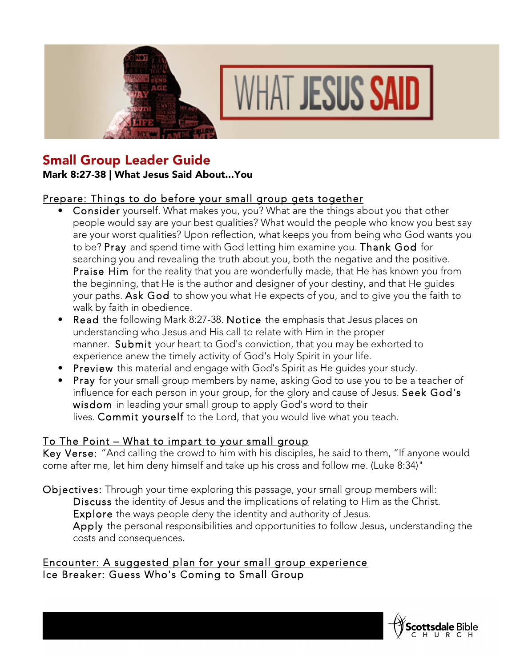



# Small Group Leader Guide

### Mark 8:27-38 | What Jesus Said About...You

# Prepare: Things to do before your small group gets together

- Consider yourself. What makes you, you? What are the things about you that other people would say are your best qualities? What would the people who know you best say are your worst qualities? Upon reflection, what keeps you from being who God wants you to be? Pray and spend time with God letting him examine you. Thank God for searching you and revealing the truth about you, both the negative and the positive. Praise Him for the reality that you are wonderfully made, that He has known you from the beginning, that He is the author and designer of your destiny, and that He guides your paths. Ask God to show you what He expects of you, and to give you the faith to walk by faith in obedience.
- Read the following Mark 8:27-38. Notice the emphasis that Jesus places on understanding who Jesus and His call to relate with Him in the proper manner. Submit your heart to God's conviction, that you may be exhorted to experience anew the timely activity of God's Holy Spirit in your life.
- Preview this material and engage with God's Spirit as He guides your study.
- Pray for your small group members by name, asking God to use you to be a teacher of influence for each person in your group, for the glory and cause of Jesus. Seek God's wisdom in leading your small group to apply God's word to their lives. Commit yourself to the Lord, that you would live what you teach.

# To The Point – What to impart to your small group

Key Verse: "And calling the crowd to him with his disciples, he said to them, "If anyone would come after me, let him deny himself and take up his cross and follow me. (Luke 8:34)"

Objectives: Through your time exploring this passage, your small group members will: Discuss the identity of Jesus and the implications of relating to Him as the Christ. Explore the ways people deny the identity and authority of Jesus. Apply the personal responsibilities and opportunities to follow Jesus, understanding the costs and consequences.

#### Encounter: A suggested plan for your small group experience Ice Breaker: Guess Who's Coming to Small Group

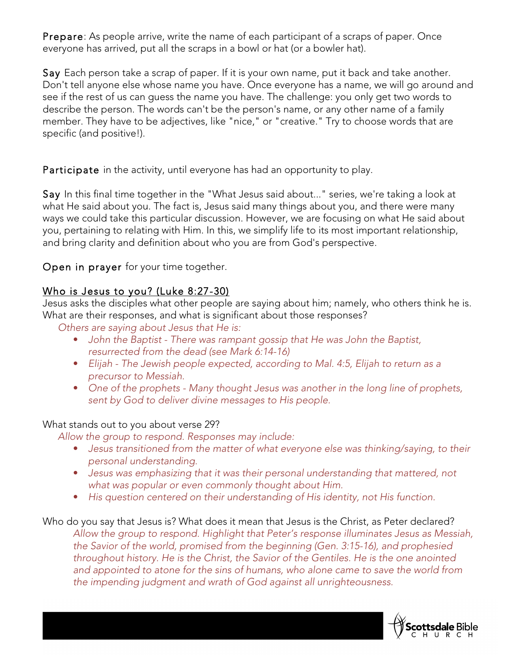Prepare: As people arrive, write the name of each participant of a scraps of paper. Once everyone has arrived, put all the scraps in a bowl or hat (or a bowler hat).

Say Each person take a scrap of paper. If it is your own name, put it back and take another. Don't tell anyone else whose name you have. Once everyone has a name, we will go around and see if the rest of us can guess the name you have. The challenge: you only get two words to describe the person. The words can't be the person's name, or any other name of a family member. They have to be adjectives, like "nice," or "creative." Try to choose words that are specific (and positive!).

Participate in the activity, until everyone has had an opportunity to play.

Say In this final time together in the "What Jesus said about..." series, we're taking a look at what He said about you. The fact is, Jesus said many things about you, and there were many ways we could take this particular discussion. However, we are focusing on what He said about you, pertaining to relating with Him. In this, we simplify life to its most important relationship, and bring clarity and definition about who you are from God's perspective.

Open in prayer for your time together.

# Who is Jesus to you? (Luke 8:27-30)

Jesus asks the disciples what other people are saying about him; namely, who others think he is. What are their responses, and what is significant about those responses?

*Others are saying about Jesus that He is:*

- *John the Baptist - There was rampant gossip that He was John the Baptist, resurrected from the dead (see Mark 6:14-16)*
- *Elijah - The Jewish people expected, according to Mal. 4:5, Elijah to return as a precursor to Messiah.*
- *One of the prophets - Many thought Jesus was another in the long line of prophets, sent by God to deliver divine messages to His people.*

#### What stands out to you about verse 29?

*Allow the group to respond. Responses may include:*

- *Jesus transitioned from the matter of what everyone else was thinking/saying, to their personal understanding.*
- *Jesus was emphasizing that it was their personal understanding that mattered, not what was popular or even commonly thought about Him.*
- *His question centered on their understanding of His identity, not His function.*

Who do you say that Jesus is? What does it mean that Jesus is the Christ, as Peter declared? *Allow the group to respond. Highlight that Peter's response illuminates Jesus as Messiah, the Savior of the world, promised from the beginning (Gen. 3:15-16), and prophesied throughout history. He is the Christ, the Savior of the Gentiles. He is the one anointed and appointed to atone for the sins of humans, who alone came to save the world from the impending judgment and wrath of God against all unrighteousness.*

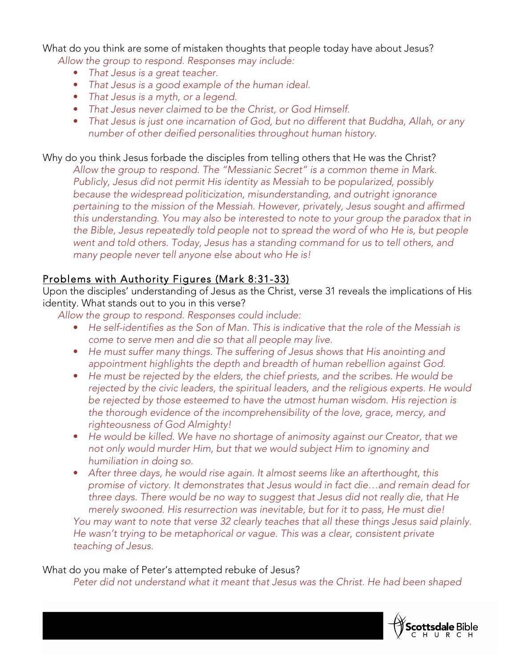What do you think are some of mistaken thoughts that people today have about Jesus? *Allow the group to respond. Responses may include:*

- *That Jesus is a great teacher.*
- *That Jesus is a good example of the human ideal.*
- *That Jesus is a myth, or a legend.*
- *That Jesus never claimed to be the Christ, or God Himself.*
- *That Jesus is just one incarnation of God, but no different that Buddha, Allah, or any number of other deified personalities throughout human history.*

Why do you think Jesus forbade the disciples from telling others that He was the Christ? *Allow the group to respond. The "Messianic Secret" is a common theme in Mark. Publicly, Jesus did not permit His identity as Messiah to be popularized, possibly because the widespread politicization, misunderstanding, and outright ignorance pertaining to the mission of the Messiah. However, privately, Jesus sought and affirmed this understanding. You may also be interested to note to your group the paradox that in the Bible, Jesus repeatedly told people not to spread the word of who He is, but people went and told others. Today, Jesus has a standing command for us to tell others, and many people never tell anyone else about who He is!*

### Problems with Authority Figures (Mark 8:31-33)

Upon the disciples' understanding of Jesus as the Christ, verse 31 reveals the implications of His identity. What stands out to you in this verse?

*Allow the group to respond. Responses could include:*

- *He self-identifies as the Son of Man. This is indicative that the role of the Messiah is come to serve men and die so that all people may live.*
- *He must suffer many things. The suffering of Jesus shows that His anointing and appointment highlights the depth and breadth of human rebellion against God.*
- *He must be rejected by the elders, the chief priests, and the scribes. He would be rejected by the civic leaders, the spiritual leaders, and the religious experts. He would be rejected by those esteemed to have the utmost human wisdom. His rejection is the thorough evidence of the incomprehensibility of the love, grace, mercy, and righteousness of God Almighty!*
- *He would be killed. We have no shortage of animosity against our Creator, that we not only would murder Him, but that we would subject Him to ignominy and humiliation in doing so.*
- *After three days, he would rise again. It almost seems like an afterthought, this promise of victory. It demonstrates that Jesus would in fact die…and remain dead for three days. There would be no way to suggest that Jesus did not really die, that He merely swooned. His resurrection was inevitable, but for it to pass, He must die!*

*You may want to note that verse 32 clearly teaches that all these things Jesus said plainly. He wasn't trying to be metaphorical or vague. This was a clear, consistent private teaching of Jesus.*

#### What do you make of Peter's attempted rebuke of Jesus?

*Peter did not understand what it meant that Jesus was the Christ. He had been shaped* 

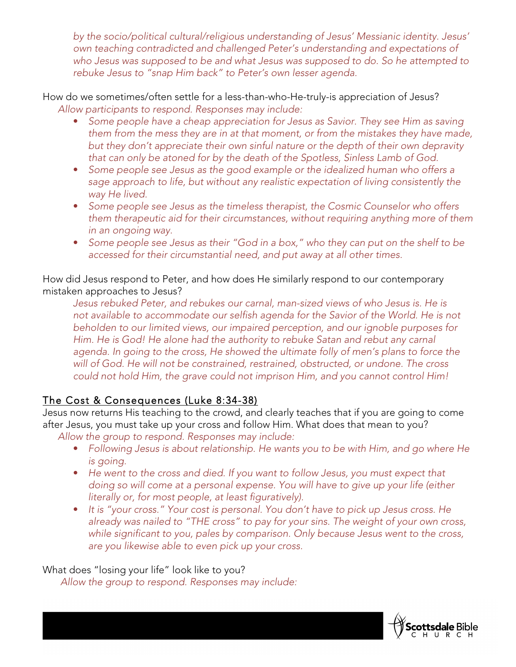*by the socio/political cultural/religious understanding of Jesus' Messianic identity. Jesus' own teaching contradicted and challenged Peter's understanding and expectations of who Jesus was supposed to be and what Jesus was supposed to do. So he attempted to rebuke Jesus to "snap Him back" to Peter's own lesser agenda.*

How do we sometimes/often settle for a less-than-who-He-truly-is appreciation of Jesus? *Allow participants to respond. Responses may include:*

- Some people have a cheap appreciation for Jesus as Savior. They see Him as saving *them from the mess they are in at that moment, or from the mistakes they have made, but they don't appreciate their own sinful nature or the depth of their own depravity that can only be atoned for by the death of the Spotless, Sinless Lamb of God.*
- *Some people see Jesus as the good example or the idealized human who offers a sage approach to life, but without any realistic expectation of living consistently the way He lived.*
- *Some people see Jesus as the timeless therapist, the Cosmic Counselor who offers them therapeutic aid for their circumstances, without requiring anything more of them in an ongoing way.*
- *Some people see Jesus as their "God in a box," who they can put on the shelf to be accessed for their circumstantial need, and put away at all other times.*

How did Jesus respond to Peter, and how does He similarly respond to our contemporary mistaken approaches to Jesus?

*Jesus rebuked Peter, and rebukes our carnal, man-sized views of who Jesus is. He is not available to accommodate our selfish agenda for the Savior of the World. He is not beholden to our limited views, our impaired perception, and our ignoble purposes for Him. He is God! He alone had the authority to rebuke Satan and rebut any carnal agenda. In going to the cross, He showed the ultimate folly of men's plans to force the will of God. He will not be constrained, restrained, obstructed, or undone. The cross could not hold Him, the grave could not imprison Him, and you cannot control Him!*

## The Cost & Consequences (Luke 8:34-38)

Jesus now returns His teaching to the crowd, and clearly teaches that if you are going to come after Jesus, you must take up your cross and follow Him. What does that mean to you?

- *Allow the group to respond. Responses may include:*
	- *Following Jesus is about relationship. He wants you to be with Him, and go where He is going.*
	- He went to the cross and died. If you want to follow Jesus, you must expect that *doing so will come at a personal expense. You will have to give up your life (either literally or, for most people, at least figuratively).*
	- *It is "your cross." Your cost is personal. You don't have to pick up Jesus cross. He already was nailed to "THE cross" to pay for your sins. The weight of your own cross, while significant to you, pales by comparison. Only because Jesus went to the cross, are you likewise able to even pick up your cross.*

What does "losing your life" look like to you?

*Allow the group to respond. Responses may include:*